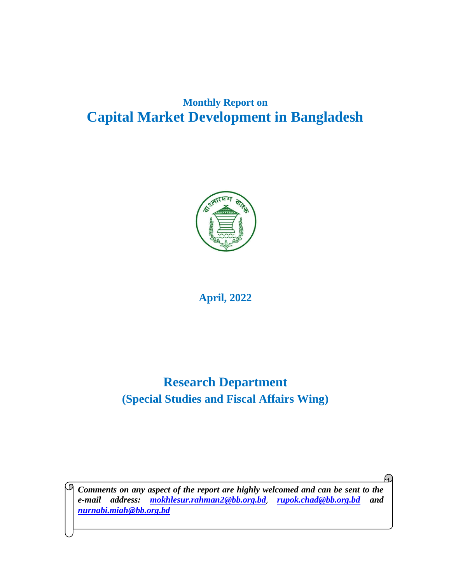# **Monthly Report on Capital Market Development in Bangladesh**



**April, 2022**

# **Research Department (Special Studies and Fiscal Affairs Wing)**

*Comments on any aspect of the report are highly welcomed and can be sent to the e-mail address: [mokhlesur.rahman2@bb.org.bd](mailto:mokhlesur.rahman2@bb.org.bd)*, *rupok.chad@bb.org.bd and [nurnabi.miah@bb.org.bd](mailto:nurnabi.miah@bb.org.bd)*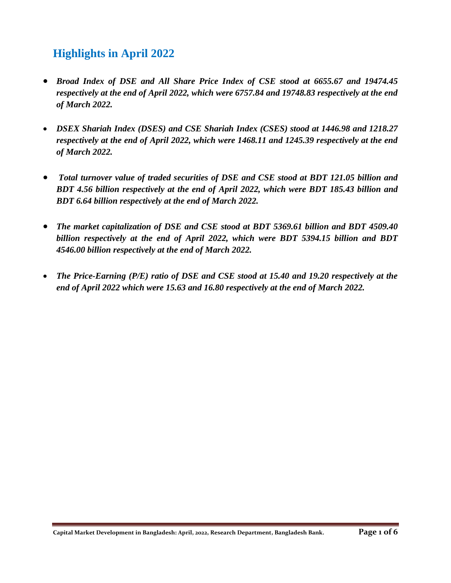# **Highlights in April 2022**

- *Broad Index of DSE and All Share Price Index of CSE stood at 6655.67 and 19474.45 respectively at the end of April 2022, which were 6757.84 and 19748.83 respectively at the end of March 2022.*
- *DSEX Shariah Index (DSES) and CSE Shariah Index (CSES) stood at 1446.98 and 1218.27 respectively at the end of April 2022, which were 1468.11 and 1245.39 respectively at the end of March 2022.*
- *Total turnover value of traded securities of DSE and CSE stood at BDT 121.05 billion and BDT 4.56 billion respectively at the end of April 2022, which were BDT 185.43 billion and BDT 6.64 billion respectively at the end of March 2022.*
- *The market capitalization of DSE and CSE stood at BDT 5369.61 billion and BDT 4509.40 billion respectively at the end of April 2022, which were BDT 5394.15 billion and BDT 4546.00 billion respectively at the end of March 2022.*
- *The Price-Earning (P/E) ratio of DSE and CSE stood at 15.40 and 19.20 respectively at the end of April 2022 which were 15.63 and 16.80 respectively at the end of March 2022.*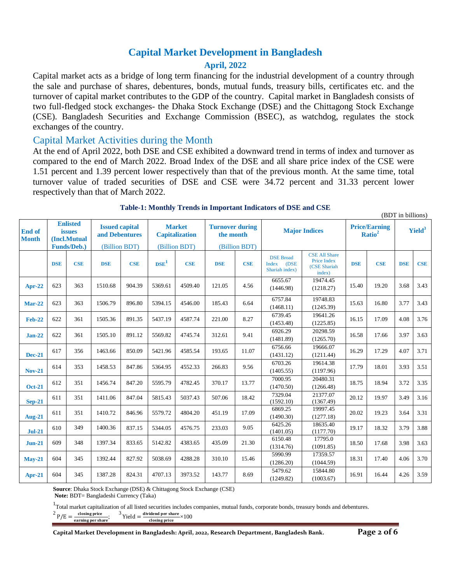### **Capital Market Development in Bangladesh April, 2022**

Capital market acts as a bridge of long term financing for the industrial development of a country through the sale and purchase of shares, debentures, bonds, mutual funds, treasury bills, certificates etc. and the turnover of capital market contributes to the GDP of the country. Capital market in Bangladesh consists of two full-fledged stock exchanges- the Dhaka Stock Exchange (DSE) and the Chittagong Stock Exchange (CSE). Bangladesh Securities and Exchange Commission (BSEC), as watchdog, regulates the stock exchanges of the country.

#### Capital Market Activities during the Month

At the end of April 2022, both DSE and CSE exhibited a downward trend in terms of index and turnover as compared to the end of March 2022. Broad Index of the DSE and all share price index of the CSE were 1.51 percent and 1.39 percent lower respectively than that of the previous month. At the same time, total turnover value of traded securities of DSE and CSE were 34.72 percent and 31.33 percent lower respectively than that of March 2022.

|                               |                                                  |               |                                         |               |                                        |               |                                     |            |                                                     |                                                               |                                            |            | $1.40$ $\mu$ m $\sigma$ $\mu$ $\sigma$ $\mu$ |            |
|-------------------------------|--------------------------------------------------|---------------|-----------------------------------------|---------------|----------------------------------------|---------------|-------------------------------------|------------|-----------------------------------------------------|---------------------------------------------------------------|--------------------------------------------|------------|----------------------------------------------|------------|
| <b>End of</b><br><b>Month</b> | <b>Enlisted</b><br><i>issues</i><br>(Incl.Mutual |               | <b>Issued capital</b><br>and Debentures |               | <b>Market</b><br><b>Capitalization</b> |               | <b>Turnover during</b><br>the month |            | <b>Major Indices</b>                                |                                                               | <b>Price/Earning</b><br>Ratio <sup>2</sup> |            | Yield <sup>3</sup>                           |            |
| <b>Funds/Deb.)</b>            |                                                  | (Billion BDT) |                                         | (Billion BDT) |                                        | (Billion BDT) |                                     |            |                                                     |                                                               |                                            |            |                                              |            |
|                               | <b>DSE</b>                                       | <b>CSE</b>    | <b>DSE</b>                              | <b>CSE</b>    | DSE <sup>1</sup>                       | <b>CSE</b>    | <b>DSE</b>                          | <b>CSE</b> | <b>DSE Broad</b><br>Index<br>(DSE<br>Shariah index) | <b>CSE All Share</b><br>Price Index<br>(CSE Shariah<br>index) | <b>DSE</b>                                 | <b>CSE</b> | <b>DSE</b>                                   | <b>CSE</b> |
| $Apr-22$                      | 623                                              | 363           | 1510.68                                 | 904.39        | 5369.61                                | 4509.40       | 121.05                              | 4.56       | 6655.67<br>(1446.98)                                | 19474.45<br>(1218.27)                                         | 15.40                                      | 19.20      | 3.68                                         | 3.43       |
| <b>Mar-22</b>                 | 623                                              | 363           | 1506.79                                 | 896.80        | 5394.15                                | 4546.00       | 185.43                              | 6.64       | 6757.84<br>(1468.11)                                | 19748.83<br>(1245.39)                                         | 15.63                                      | 16.80      | 3.77                                         | 3.43       |
| <b>Feb-22</b>                 | 622                                              | 361           | 1505.36                                 | 891.35        | 5437.19                                | 4587.74       | 221.00                              | 8.27       | 6739.45<br>(1453.48)                                | 19641.26<br>(1225.85)                                         | 16.15                                      | 17.09      | 4.08                                         | 3.76       |
| $Jan-22$                      | 622                                              | 361           | 1505.10                                 | 891.12        | 5569.82                                | 4745.74       | 312.61                              | 9.41       | 6926.29<br>(1481.89)                                | 20298.59<br>(1265.70)                                         | 16.58                                      | 17.66      | 3.97                                         | 3.63       |
| <b>Dec-21</b>                 | 617                                              | 356           | 1463.66                                 | 850.09        | 5421.96                                | 4585.54       | 193.65                              | 11.07      | 6756.66<br>(1431.12)                                | 19666.07<br>(1211.44)                                         | 16.29                                      | 17.29      | 4.07                                         | 3.71       |
| <b>Nov-21</b>                 | 614                                              | 353           | 1458.53                                 | 847.86        | 5364.95                                | 4552.33       | 266.83                              | 9.56       | 6703.26<br>(1405.55)                                | 19614.38<br>(1197.96)                                         | 17.79                                      | 18.01      | 3.93                                         | 3.51       |
| <b>Oct-21</b>                 | 612                                              | 351           | 1456.74                                 | 847.20        | 5595.79                                | 4782.45       | 370.17                              | 13.77      | 7000.95<br>(1470.50)                                | 20480.31<br>(1266.48)                                         | 18.75                                      | 18.94      | 3.72                                         | 3.35       |
| $Sep-21$                      | 611                                              | 351           | 1411.06                                 | 847.04        | 5815.43                                | 5037.43       | 507.06                              | 18.42      | 7329.04<br>(1592.10)                                | 21377.07<br>(1367.49)                                         | 20.12                                      | 19.97      | 3.49                                         | 3.16       |
| <b>Aug-21</b>                 | 611                                              | 351           | 1410.72                                 | 846.96        | 5579.72                                | 4804.20       | 451.19                              | 17.09      | 6869.25<br>(1490.30)                                | 19997.45<br>(1277.18)                                         | 20.02                                      | 19.23      | 3.64                                         | 3.31       |
| <b>Jul-21</b>                 | 610                                              | 349           | 1400.36                                 | 837.15        | 5344.05                                | 4576.75       | 233.03                              | 9.05       | 6425.26<br>(1401.05)                                | 18635.40<br>(1177.70)                                         | 19.17                                      | 18.32      | 3.79                                         | 3.88       |
| $Jun-21$                      | 609                                              | 348           | 1397.34                                 | 833.65        | 5142.82                                | 4383.65       | 435.09                              | 21.30      | 6150.48<br>(1314.76)                                | 17795.0<br>(1091.85)                                          | 18.50                                      | 17.68      | 3.98                                         | 3.63       |
| $Mav-21$                      | 604                                              | 345           | 1392.44                                 | 827.92        | 5038.69                                | 4288.28       | 310.10                              | 15.46      | 5990.99<br>(1286.20)                                | 17359.57<br>(1044.59)                                         | 18.31                                      | 17.40      | 4.06                                         | 3.70       |
| Apr-21                        | 604                                              | 345           | 1387.28                                 | 824.31        | 4707.13                                | 3973.52       | 143.77                              | 8.69       | 5479.62<br>(1249.82)                                | 15844.80<br>(1003.67)                                         | 16.91                                      | 16.44      | 4.26                                         | 3.59       |

#### **Table-1: Monthly Trends in Important Indicators of DSE and CSE**

**Source**: Dhaka Stock Exchange (DSE) & Chittagong Stock Exchange (CSE)

**Note:** BDT= Bangladeshi Currency (Taka)

<sup>1</sup>Total market capitalization of all listed securities includes companies, mutual funds, corporate bonds, treasury bonds and debentures.

 $^{2}P/E = \frac{\text{closing price}}{\text{cutoff}}$ earning per share ;  $3$  Yield =  $\frac{\text{dividend per share}}{\text{distance}} \times 100$ closing price

(BDT in billions)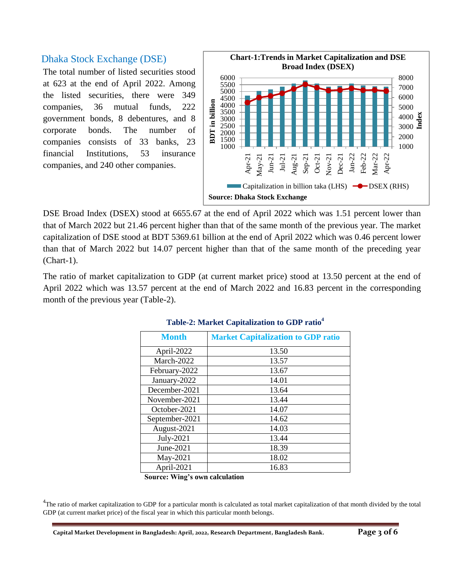### Dhaka Stock Exchange (DSE)

The total number of listed securities stood at 623 at the end of April 2022. Among the listed securities, there were 349 companies, 36 mutual funds, 222 government bonds, 8 debentures, and 8 corporate bonds. The number of companies consists of 33 banks, 23 financial Institutions, 53 insurance companies, and 240 other companies.



DSE Broad Index (DSEX) stood at 6655.67 at the end of April 2022 which was 1.51 percent lower than that of March 2022 but 21.46 percent higher than that of the same month of the previous year. The market capitalization of DSE stood at BDT 5369.61 billion at the end of April 2022 which was 0.46 percent lower than that of March 2022 but 14.07 percent higher than that of the same month of the preceding year (Chart-1).

The ratio of market capitalization to GDP (at current market price) stood at 13.50 percent at the end of April 2022 which was 13.57 percent at the end of March 2022 and 16.83 percent in the corresponding month of the previous year (Table-2).

| <b>Month</b>   | <b>Market Capitalization to GDP ratio</b> |
|----------------|-------------------------------------------|
| April-2022     | 13.50                                     |
| March-2022     | 13.57                                     |
| February-2022  | 13.67                                     |
| January-2022   | 14.01                                     |
| December-2021  | 13.64                                     |
| November-2021  | 13.44                                     |
| October-2021   | 14.07                                     |
| September-2021 | 14.62                                     |
| August-2021    | 14.03                                     |
| July-2021      | 13.44                                     |
| June- $2021$   | 18.39                                     |
| May-2021       | 18.02                                     |
| April-2021     | 16.83                                     |

| Table-2: Market Capitalization to GDP ratio <sup>4</sup> |  |  |
|----------------------------------------------------------|--|--|
|----------------------------------------------------------|--|--|

**Source: Wing's own calculation**

<sup>4</sup>The ratio of market capitalization to GDP for a particular month is calculated as total market capitalization of that month divided by the total GDP (at current market price) of the fiscal year in which this particular month belongs.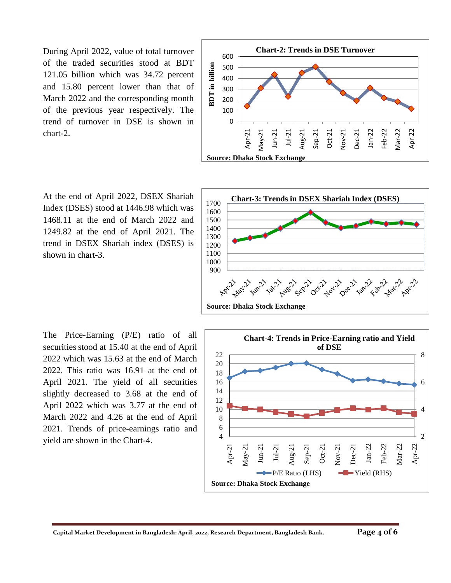During April 2022, value of total turnover of the traded securities stood at BDT 121.05 billion which was 34.72 percent and 15.80 percent lower than that of March 2022 and the corresponding month of the previous year respectively. The trend of turnover in DSE is shown in chart-2.



At the end of April 2022, DSEX Shariah Index (DSES) stood at 1446.98 which was 1468.11 at the end of March 2022 and 1249.82 at the end of April 2021. The trend in DSEX Shariah index (DSES) is shown in chart-3.



The Price-Earning (P/E) ratio of all securities stood at 15.40 at the end of April 2022 which was 15.63 at the end of March 2022. This ratio was 16.91 at the end of April 2021. The yield of all securities slightly decreased to 3.68 at the end of April 2022 which was 3.77 at the end of March 2022 and 4.26 at the end of April 2021. Trends of price-earnings ratio and yield are shown in the Chart-4.

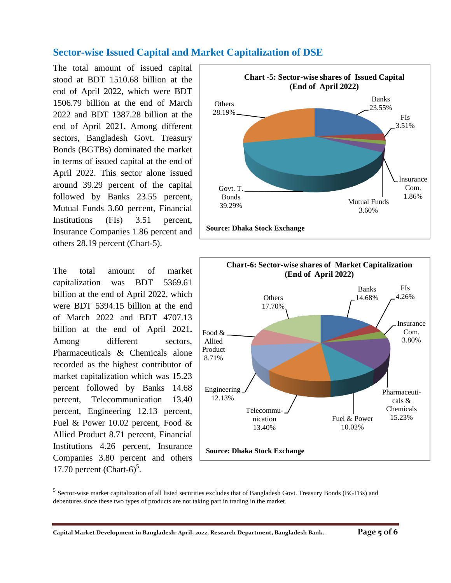# **Sector-wise Issued Capital and Market Capitalization of DSE**

The total amount of issued capital stood at BDT 1510.68 billion at the end of April 2022, which were BDT 1506.79 billion at the end of March 2022 and BDT 1387.28 billion at the end of April 2021**.** Among different sectors, Bangladesh Govt. Treasury Bonds (BGTBs) dominated the market in terms of issued capital at the end of April 2022. This sector alone issued around 39.29 percent of the capital followed by Banks 23.55 percent, Mutual Funds 3.60 percent, Financial Institutions (FIs) 3.51 percent, Insurance Companies 1.86 percent and others 28.19 percent (Chart-5).

The total amount of market capitalization was BDT 5369.61 billion at the end of April 2022, which were BDT 5394.15 billion at the end of March 2022 and BDT 4707.13 billion at the end of April 2021**.**  Among different sectors, Pharmaceuticals & Chemicals alone recorded as the highest contributor of market capitalization which was 15.23 percent followed by Banks 14.68 percent, Telecommunication 13.40 percent, Engineering 12.13 percent, Fuel & Power 10.02 percent, Food & Allied Product 8.71 percent, Financial Institutions 4.26 percent, Insurance Companies 3.80 percent and others 17.70 percent  $(Chart-6)^5$ .





<sup>&</sup>lt;sup>5</sup> Sector-wise market capitalization of all listed securities excludes that of Bangladesh Govt. Treasury Bonds (BGTBs) and debentures since these two types of products are not taking part in trading in the market.